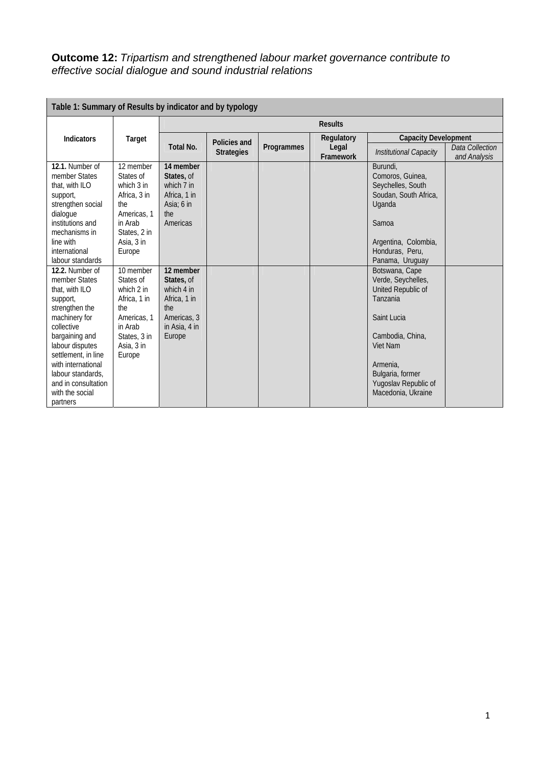## **Outcome 12:** *Tripartism and strengthened labour market governance contribute to effective social dialogue and sound industrial relations*

| Table 1: Summary of Results by indicator and by typology                                                                                                                                                                                                                     |                                                                                                                                 |                                                                                                        |                   |                   |                    |                                                                                                                                                                                                     |                                 |  |
|------------------------------------------------------------------------------------------------------------------------------------------------------------------------------------------------------------------------------------------------------------------------------|---------------------------------------------------------------------------------------------------------------------------------|--------------------------------------------------------------------------------------------------------|-------------------|-------------------|--------------------|-----------------------------------------------------------------------------------------------------------------------------------------------------------------------------------------------------|---------------------------------|--|
|                                                                                                                                                                                                                                                                              | Target                                                                                                                          | <b>Results</b>                                                                                         |                   |                   |                    |                                                                                                                                                                                                     |                                 |  |
| <b>Indicators</b>                                                                                                                                                                                                                                                            |                                                                                                                                 |                                                                                                        | Policies and      |                   | Regulatory         | <b>Capacity Development</b>                                                                                                                                                                         |                                 |  |
|                                                                                                                                                                                                                                                                              |                                                                                                                                 | Total No.                                                                                              | <b>Strategies</b> | <b>Programmes</b> | Legal<br>Framework | <b>Institutional Capacity</b>                                                                                                                                                                       | Data Collection<br>and Analysis |  |
| 12.1. Number of<br>member States<br>that, with ILO<br>support,<br>strengthen social<br>dialogue<br>institutions and<br>mechanisms in<br>line with<br>international<br>labour standards                                                                                       | 12 member<br>States of<br>which $3$ in<br>Africa, 3 in<br>the<br>Americas, 1<br>in Arab<br>States, 2 in<br>Asia, 3 in<br>Europe | 14 member<br>States, of<br>which 7 in<br>Africa, 1 in<br>Asia: 6 in<br>the<br>Americas                 |                   |                   |                    | Burundi,<br>Comoros, Guinea,<br>Seychelles, South<br>Soudan, South Africa,<br>Uganda<br>Samoa<br>Argentina, Colombia,<br>Honduras, Peru,<br>Panama, Uruguay                                         |                                 |  |
| 12.2. Number of<br>member States<br>that, with ILO<br>support,<br>strengthen the<br>machinery for<br>collective<br>bargaining and<br>labour disputes<br>settlement, in line<br>with international<br>labour standards.<br>and in consultation<br>with the social<br>partners | 10 member<br>States of<br>which 2 in<br>Africa, 1 in<br>the<br>Americas, 1<br>in Arab<br>States, 3 in<br>Asia, 3 in<br>Europe   | 12 member<br>States, of<br>which 4 in<br>Africa, 1 in<br>the<br>Americas, 3<br>in Asia, 4 in<br>Europe |                   |                   |                    | Botswana, Cape<br>Verde, Seychelles,<br>United Republic of<br>Tanzania<br>Saint Lucia<br>Cambodia, China,<br>Viet Nam<br>Armenia,<br>Bulgaria, former<br>Yugoslav Republic of<br>Macedonia, Ukraine |                                 |  |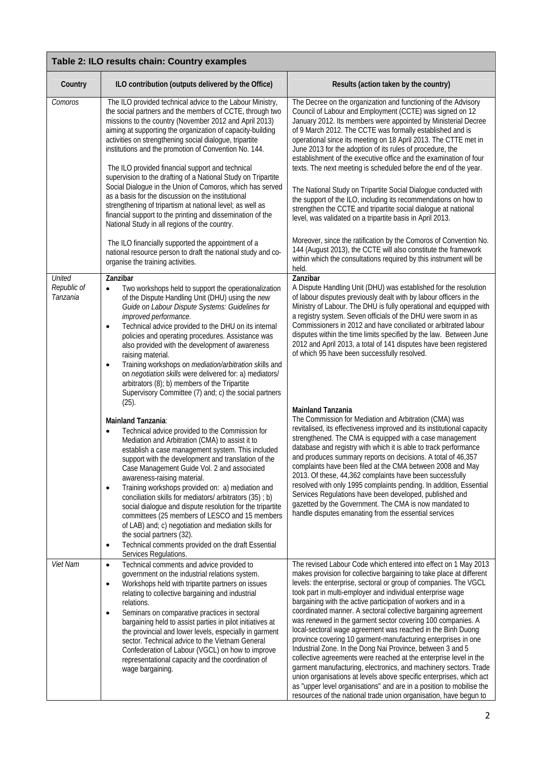| Table 2: ILO results chain: Country examples |                                                                                                                                                                                                                                                                                                                                                                                                                                                                                                                                                                                                                                                                                                                                                                                                                                                                                                                                                                                                                                                                                                                                                                                                                                                                                                                                                                                                                                        |                                                                                                                                                                                                                                                                                                                                                                                                                                                                                                                                                                                                                                                                                                                                                                                                                                                                                                                                                                                                                                                                                                                                                                                                                                                                                                        |  |  |
|----------------------------------------------|----------------------------------------------------------------------------------------------------------------------------------------------------------------------------------------------------------------------------------------------------------------------------------------------------------------------------------------------------------------------------------------------------------------------------------------------------------------------------------------------------------------------------------------------------------------------------------------------------------------------------------------------------------------------------------------------------------------------------------------------------------------------------------------------------------------------------------------------------------------------------------------------------------------------------------------------------------------------------------------------------------------------------------------------------------------------------------------------------------------------------------------------------------------------------------------------------------------------------------------------------------------------------------------------------------------------------------------------------------------------------------------------------------------------------------------|--------------------------------------------------------------------------------------------------------------------------------------------------------------------------------------------------------------------------------------------------------------------------------------------------------------------------------------------------------------------------------------------------------------------------------------------------------------------------------------------------------------------------------------------------------------------------------------------------------------------------------------------------------------------------------------------------------------------------------------------------------------------------------------------------------------------------------------------------------------------------------------------------------------------------------------------------------------------------------------------------------------------------------------------------------------------------------------------------------------------------------------------------------------------------------------------------------------------------------------------------------------------------------------------------------|--|--|
| Country                                      | ILO contribution (outputs delivered by the Office)                                                                                                                                                                                                                                                                                                                                                                                                                                                                                                                                                                                                                                                                                                                                                                                                                                                                                                                                                                                                                                                                                                                                                                                                                                                                                                                                                                                     | Results (action taken by the country)                                                                                                                                                                                                                                                                                                                                                                                                                                                                                                                                                                                                                                                                                                                                                                                                                                                                                                                                                                                                                                                                                                                                                                                                                                                                  |  |  |
| Comoros                                      | The ILO provided technical advice to the Labour Ministry,<br>the social partners and the members of CCTE, through two<br>missions to the country (November 2012 and April 2013)<br>aiming at supporting the organization of capacity-building<br>activities on strengthening social dialogue, tripartite<br>institutions and the promotion of Convention No. 144.<br>The ILO provided financial support and technical<br>supervision to the drafting of a National Study on Tripartite<br>Social Dialogue in the Union of Comoros, which has served<br>as a basis for the discussion on the institutional<br>strengthening of tripartism at national level; as well as<br>financial support to the printing and dissemination of the<br>National Study in all regions of the country.                                                                                                                                                                                                                                                                                                                                                                                                                                                                                                                                                                                                                                                  | The Decree on the organization and functioning of the Advisory<br>Council of Labour and Employment (CCTE) was signed on 12<br>January 2012. Its members were appointed by Ministerial Decree<br>of 9 March 2012. The CCTE was formally established and is<br>operational since its meeting on 18 April 2013. The CTTE met in<br>June 2013 for the adoption of its rules of procedure, the<br>establishment of the executive office and the examination of four<br>texts. The next meeting is scheduled before the end of the year.<br>The National Study on Tripartite Social Dialogue conducted with<br>the support of the ILO, including its recommendations on how to<br>strengthen the CCTE and tripartite social dialogue at national<br>level, was validated on a tripartite basis in April 2013.                                                                                                                                                                                                                                                                                                                                                                                                                                                                                                |  |  |
|                                              | The ILO financially supported the appointment of a<br>national resource person to draft the national study and co-<br>organise the training activities.                                                                                                                                                                                                                                                                                                                                                                                                                                                                                                                                                                                                                                                                                                                                                                                                                                                                                                                                                                                                                                                                                                                                                                                                                                                                                | Moreover, since the ratification by the Comoros of Convention No.<br>144 (August 2013), the CCTE will also constitute the framework<br>within which the consultations required by this instrument will be<br>held.                                                                                                                                                                                                                                                                                                                                                                                                                                                                                                                                                                                                                                                                                                                                                                                                                                                                                                                                                                                                                                                                                     |  |  |
| United<br>Republic of<br>Tanzania            | Zanzibar<br>Two workshops held to support the operationalization<br>$\bullet$<br>of the Dispute Handling Unit (DHU) using the new<br>Guide on Labour Dispute Systems: Guidelines for<br>improved performance.<br>Technical advice provided to the DHU on its internal<br>$\bullet$<br>policies and operating procedures. Assistance was<br>also provided with the development of awareness<br>raising material.<br>Training workshops on <i>mediation/arbitration skills</i> and<br>$\bullet$<br>on negotiation skills were delivered for: a) mediators/<br>arbitrators (8); b) members of the Tripartite<br>Supervisory Committee (7) and; c) the social partners<br>$(25)$ .<br>Mainland Tanzania:<br>Technical advice provided to the Commission for<br>$\bullet$<br>Mediation and Arbitration (CMA) to assist it to<br>establish a case management system. This included<br>support with the development and translation of the<br>Case Management Guide Vol. 2 and associated<br>awareness-raising material.<br>Training workshops provided on: a) mediation and<br>$\bullet$<br>conciliation skills for mediators/ arbitrators (35) ; b)<br>social dialogue and dispute resolution for the tripartite<br>committees (25 members of LESCO and 15 members<br>of LAB) and; c) negotiation and mediation skills for<br>the social partners (32).<br>Technical comments provided on the draft Essential<br>٠<br>Services Regulations. | Zanzibar<br>A Dispute Handling Unit (DHU) was established for the resolution<br>of labour disputes previously dealt with by labour officers in the<br>Ministry of Labour. The DHU is fully operational and equipped with<br>a registry system. Seven officials of the DHU were sworn in as<br>Commissioners in 2012 and have conciliated or arbitrated labour<br>disputes within the time limits specified by the law. Between June<br>2012 and April 2013, a total of 141 disputes have been registered<br>of which 95 have been successfully resolved.<br><b>Mainland Tanzania</b><br>The Commission for Mediation and Arbitration (CMA) was<br>revitalised, its effectiveness improved and its institutional capacity<br>strengthened. The CMA is equipped with a case management<br>database and registry with which it is able to track performance<br>and produces summary reports on decisions. A total of 46,357<br>complaints have been filed at the CMA between 2008 and May<br>2013. Of these, 44,362 complaints have been successfully<br>resolved with only 1995 complaints pending. In addition, Essential<br>Services Regulations have been developed, published and<br>gazetted by the Government. The CMA is now mandated to<br>handle disputes emanating from the essential services |  |  |
| Viet Nam                                     | Technical comments and advice provided to<br>$\bullet$<br>government on the industrial relations system.<br>Workshops held with tripartite partners on issues<br>$\bullet$<br>relating to collective bargaining and industrial<br>relations.<br>Seminars on comparative practices in sectoral<br>$\bullet$<br>bargaining held to assist parties in pilot initiatives at<br>the provincial and lower levels, especially in garment<br>sector. Technical advice to the Vietnam General<br>Confederation of Labour (VGCL) on how to improve<br>representational capacity and the coordination of<br>wage bargaining.                                                                                                                                                                                                                                                                                                                                                                                                                                                                                                                                                                                                                                                                                                                                                                                                                      | The revised Labour Code which entered into effect on 1 May 2013<br>makes provision for collective bargaining to take place at different<br>levels: the enterprise, sectoral or group of companies. The VGCL<br>took part in multi-employer and individual enterprise wage<br>bargaining with the active participation of workers and in a<br>coordinated manner. A sectoral collective bargaining agreement<br>was renewed in the garment sector covering 100 companies. A<br>local-sectoral wage agreement was reached in the Binh Duong<br>province covering 10 garment-manufacturing enterprises in one<br>Industrial Zone. In the Dong Nai Province, between 3 and 5<br>collective agreements were reached at the enterprise level in the<br>garment manufacturing, electronics, and machinery sectors. Trade<br>union organisations at levels above specific enterprises, which act<br>as "upper level organisations" and are in a position to mobilise the<br>resources of the national trade union organisation, have begun to                                                                                                                                                                                                                                                                  |  |  |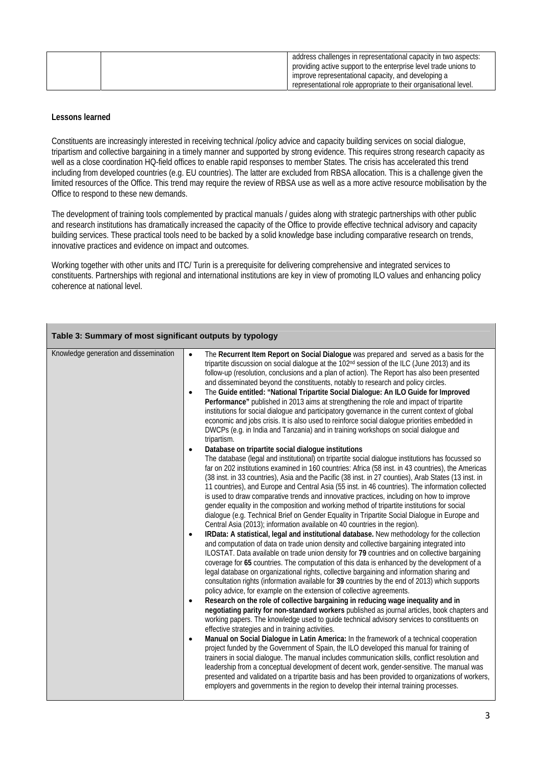| address challenges in representational capacity in two aspects:  |
|------------------------------------------------------------------|
| providing active support to the enterprise level trade unions to |
| improve representational capacity, and developing a              |
| representational role appropriate to their organisational level. |

## **Lessons learned**

Constituents are increasingly interested in receiving technical /policy advice and capacity building services on social dialogue, tripartism and collective bargaining in a timely manner and supported by strong evidence. This requires strong research capacity as well as a close coordination HQ-field offices to enable rapid responses to member States. The crisis has accelerated this trend including from developed countries (e.g. EU countries). The latter are excluded from RBSA allocation. This is a challenge given the limited resources of the Office. This trend may require the review of RBSA use as well as a more active resource mobilisation by the Office to respond to these new demands.

The development of training tools complemented by practical manuals / guides along with strategic partnerships with other public and research institutions has dramatically increased the capacity of the Office to provide effective technical advisory and capacity building services. These practical tools need to be backed by a solid knowledge base including comparative research on trends, innovative practices and evidence on impact and outcomes.

Working together with other units and ITC/ Turin is a prerequisite for delivering comprehensive and integrated services to constituents. Partnerships with regional and international institutions are key in view of promoting ILO values and enhancing policy coherence at national level.

| Table 3: Summary of most significant outputs by typology |                                                                                                                                                                                                                                                                                                                                                                                                                                                                                                                                                                                                                                                                                                                                                                                                                                                                                                                                                                                                                                                                                                                                                                                                                                                                                                                                                                                                                                                                                                                                                                                                                                                                                                                                                                                                                                                                                                                                                                                                                                                                                                                                                                                                                                                                                                                                                                                                                                                                                                                                                                                                                                                                                                                                                                                                                                                                                                                                                                                                                                                                                                                                                                                                                                                                                                                                                                                                          |  |  |  |
|----------------------------------------------------------|----------------------------------------------------------------------------------------------------------------------------------------------------------------------------------------------------------------------------------------------------------------------------------------------------------------------------------------------------------------------------------------------------------------------------------------------------------------------------------------------------------------------------------------------------------------------------------------------------------------------------------------------------------------------------------------------------------------------------------------------------------------------------------------------------------------------------------------------------------------------------------------------------------------------------------------------------------------------------------------------------------------------------------------------------------------------------------------------------------------------------------------------------------------------------------------------------------------------------------------------------------------------------------------------------------------------------------------------------------------------------------------------------------------------------------------------------------------------------------------------------------------------------------------------------------------------------------------------------------------------------------------------------------------------------------------------------------------------------------------------------------------------------------------------------------------------------------------------------------------------------------------------------------------------------------------------------------------------------------------------------------------------------------------------------------------------------------------------------------------------------------------------------------------------------------------------------------------------------------------------------------------------------------------------------------------------------------------------------------------------------------------------------------------------------------------------------------------------------------------------------------------------------------------------------------------------------------------------------------------------------------------------------------------------------------------------------------------------------------------------------------------------------------------------------------------------------------------------------------------------------------------------------------------------------------------------------------------------------------------------------------------------------------------------------------------------------------------------------------------------------------------------------------------------------------------------------------------------------------------------------------------------------------------------------------------------------------------------------------------------------------------------------------|--|--|--|
| Knowledge generation and dissemination                   | The Recurrent Item Report on Social Dialogue was prepared and served as a basis for the<br>$\bullet$<br>tripartite discussion on social dialogue at the 102nd session of the ILC (June 2013) and its<br>follow-up (resolution, conclusions and a plan of action). The Report has also been presented<br>and disseminated beyond the constituents, notably to research and policy circles.<br>The Guide entitled: "National Tripartite Social Dialogue: An ILO Guide for Improved<br>$\bullet$<br>Performance" published in 2013 aims at strengthening the role and impact of tripartite<br>institutions for social dialogue and participatory governance in the current context of global<br>economic and jobs crisis. It is also used to reinforce social dialogue priorities embedded in<br>DWCPs (e.g. in India and Tanzania) and in training workshops on social dialogue and<br>tripartism.<br>Database on tripartite social dialogue institutions<br>$\bullet$<br>The database (legal and institutional) on tripartite social dialogue institutions has focussed so<br>far on 202 institutions examined in 160 countries: Africa (58 inst. in 43 countries), the Americas<br>(38 inst. in 33 countries), Asia and the Pacific (38 inst. in 27 counties), Arab States (13 inst. in<br>11 countries), and Europe and Central Asia (55 inst. in 46 countries). The information collected<br>is used to draw comparative trends and innovative practices, including on how to improve<br>gender equality in the composition and working method of tripartite institutions for social<br>dialogue (e.g. Technical Brief on Gender Equality in Tripartite Social Dialogue in Europe and<br>Central Asia (2013); information available on 40 countries in the region).<br>IRData: A statistical, legal and institutional database. New methodology for the collection<br>$\bullet$<br>and computation of data on trade union density and collective bargaining integrated into<br>ILOSTAT. Data available on trade union density for 79 countries and on collective bargaining<br>coverage for 65 countries. The computation of this data is enhanced by the development of a<br>legal database on organizational rights, collective bargaining and information sharing and<br>consultation rights (information available for 39 countries by the end of 2013) which supports<br>policy advice, for example on the extension of collective agreements.<br>Research on the role of collective bargaining in reducing wage inequality and in<br>$\bullet$<br>negotiating parity for non-standard workers published as journal articles, book chapters and<br>working papers. The knowledge used to guide technical advisory services to constituents on<br>effective strategies and in training activities.<br>Manual on Social Dialogue in Latin America: In the framework of a technical cooperation<br>$\bullet$<br>project funded by the Government of Spain, the ILO developed this manual for training of<br>trainers in social dialogue. The manual includes communication skills, conflict resolution and<br>leadership from a conceptual development of decent work, gender-sensitive. The manual was<br>presented and validated on a tripartite basis and has been provided to organizations of workers,<br>employers and governments in the region to develop their internal training processes. |  |  |  |